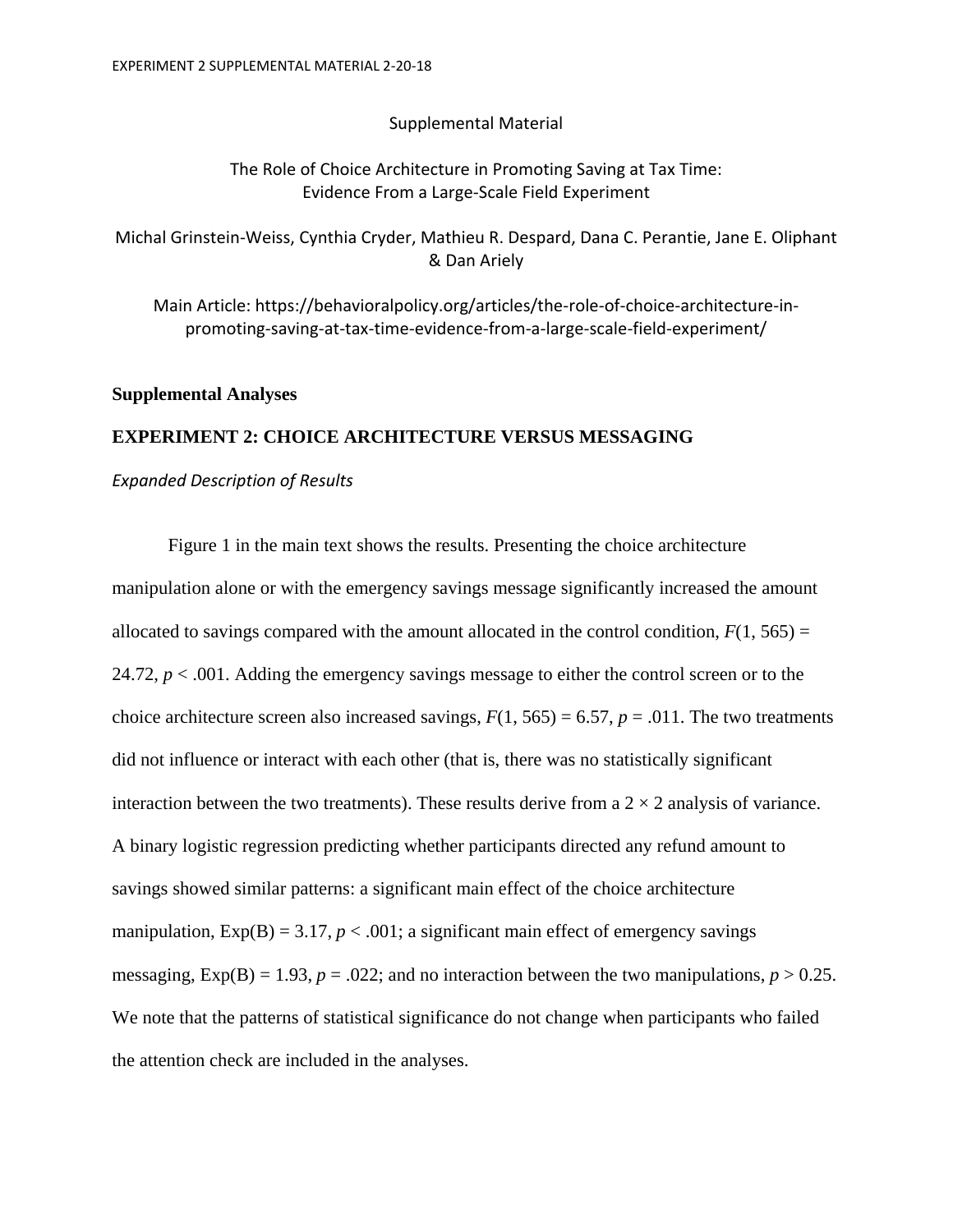## Supplemental Material

# The Role of Choice Architecture in Promoting Saving at Tax Time: Evidence From a Large‐Scale Field Experiment

Michal Grinstein‐Weiss, Cynthia Cryder, Mathieu R. Despard, Dana C. Perantie, Jane E. Oliphant & Dan Ariely

Main Article: https://behavioralpolicy.org/articles/the‐role‐of‐choice‐architecture‐in‐ promoting‐saving‐at‐tax‐time‐evidence‐from‐a‐large‐scale‐field‐experiment/

## **Supplemental Analyses**

## **EXPERIMENT 2: CHOICE ARCHITECTURE VERSUS MESSAGING**

## *Expanded Description of Results*

Figure 1 in the main text shows the results. Presenting the choice architecture manipulation alone or with the emergency savings message significantly increased the amount allocated to savings compared with the amount allocated in the control condition,  $F(1, 565) =$ 24.72,  $p < .001$ . Adding the emergency savings message to either the control screen or to the choice architecture screen also increased savings,  $F(1, 565) = 6.57$ ,  $p = .011$ . The two treatments did not influence or interact with each other (that is, there was no statistically significant interaction between the two treatments). These results derive from a  $2 \times 2$  analysis of variance. A binary logistic regression predicting whether participants directed any refund amount to savings showed similar patterns: a significant main effect of the choice architecture manipulation,  $Exp(B) = 3.17$ ,  $p < .001$ ; a significant main effect of emergency savings messaging,  $Exp(B) = 1.93$ ,  $p = .022$ ; and no interaction between the two manipulations,  $p > 0.25$ . We note that the patterns of statistical significance do not change when participants who failed the attention check are included in the analyses.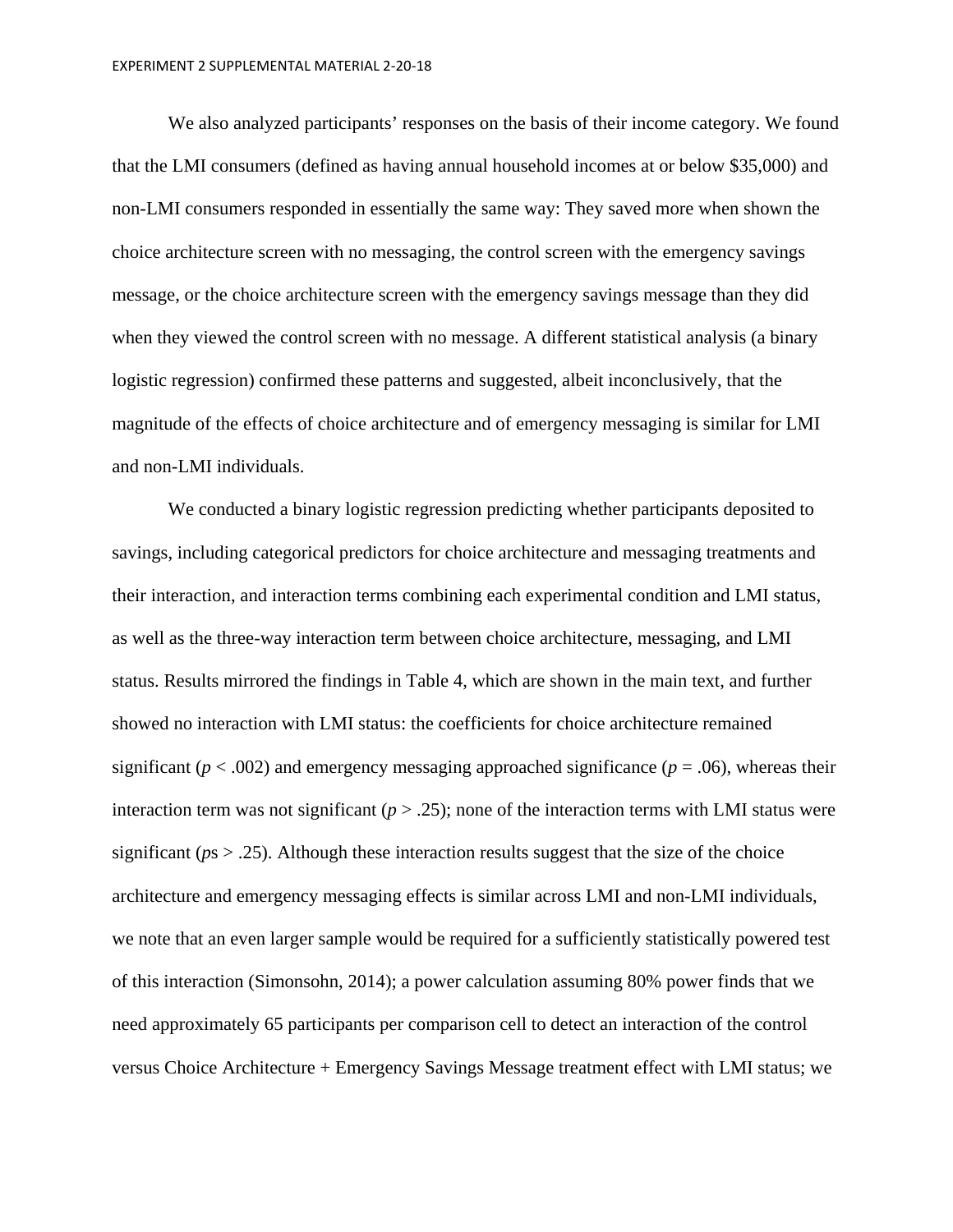We also analyzed participants' responses on the basis of their income category. We found that the LMI consumers (defined as having annual household incomes at or below \$35,000) and non-LMI consumers responded in essentially the same way: They saved more when shown the choice architecture screen with no messaging, the control screen with the emergency savings message, or the choice architecture screen with the emergency savings message than they did when they viewed the control screen with no message. A different statistical analysis (a binary logistic regression) confirmed these patterns and suggested, albeit inconclusively, that the magnitude of the effects of choice architecture and of emergency messaging is similar for LMI and non-LMI individuals.

We conducted a binary logistic regression predicting whether participants deposited to savings, including categorical predictors for choice architecture and messaging treatments and their interaction, and interaction terms combining each experimental condition and LMI status, as well as the three-way interaction term between choice architecture, messaging, and LMI status. Results mirrored the findings in Table 4, which are shown in the main text, and further showed no interaction with LMI status: the coefficients for choice architecture remained significant ( $p < .002$ ) and emergency messaging approached significance ( $p = .06$ ), whereas their interaction term was not significant ( $p > .25$ ); none of the interaction terms with LMI status were significant ( $ps > .25$ ). Although these interaction results suggest that the size of the choice architecture and emergency messaging effects is similar across LMI and non-LMI individuals, we note that an even larger sample would be required for a sufficiently statistically powered test of this interaction (Simonsohn, 2014); a power calculation assuming 80% power finds that we need approximately 65 participants per comparison cell to detect an interaction of the control versus Choice Architecture + Emergency Savings Message treatment effect with LMI status; we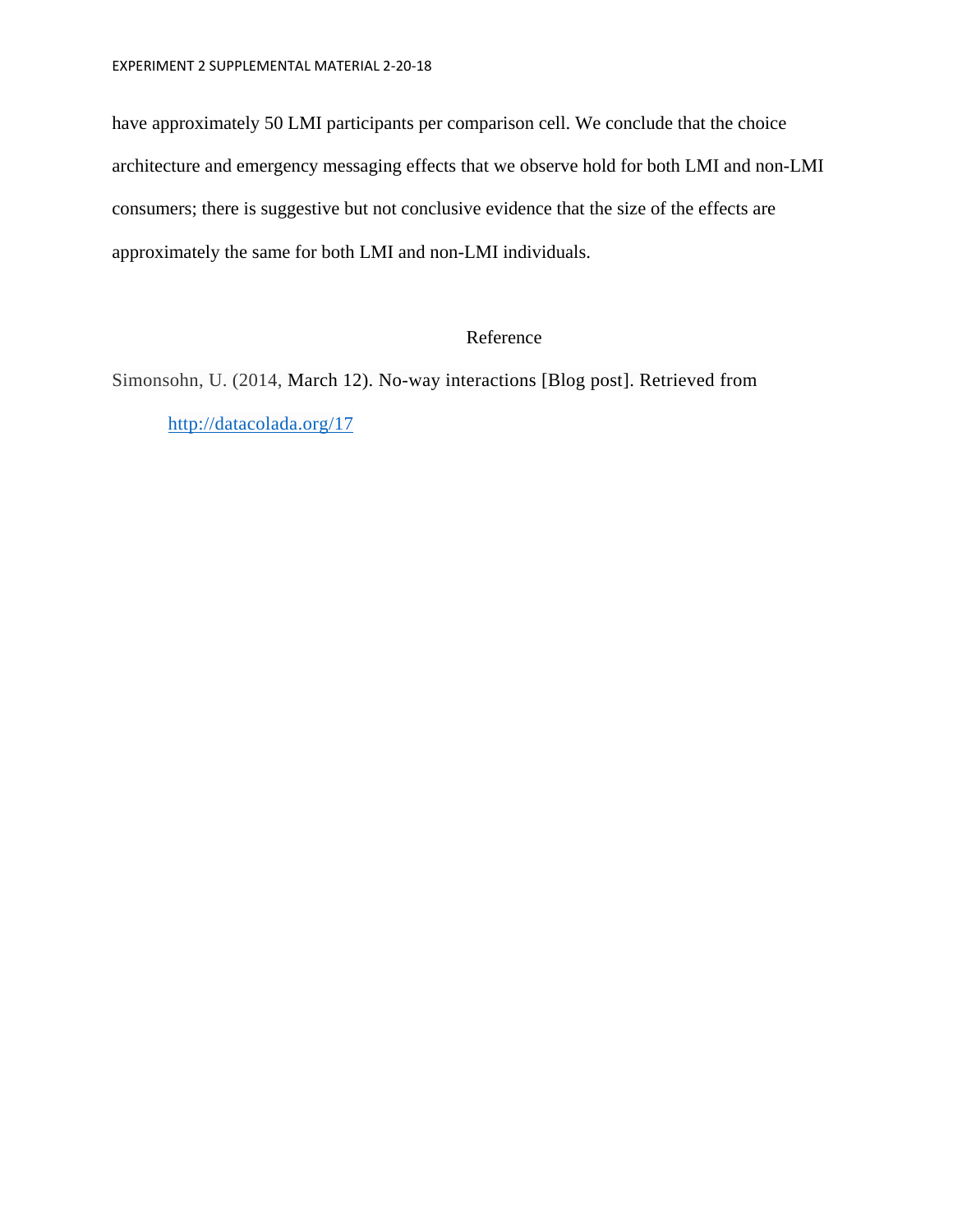have approximately 50 LMI participants per comparison cell. We conclude that the choice architecture and emergency messaging effects that we observe hold for both LMI and non-LMI consumers; there is suggestive but not conclusive evidence that the size of the effects are approximately the same for both LMI and non-LMI individuals.

# Reference

Simonsohn, U. (2014, March 12). No-way interactions [Blog post]. Retrieved from http://datacolada.org/17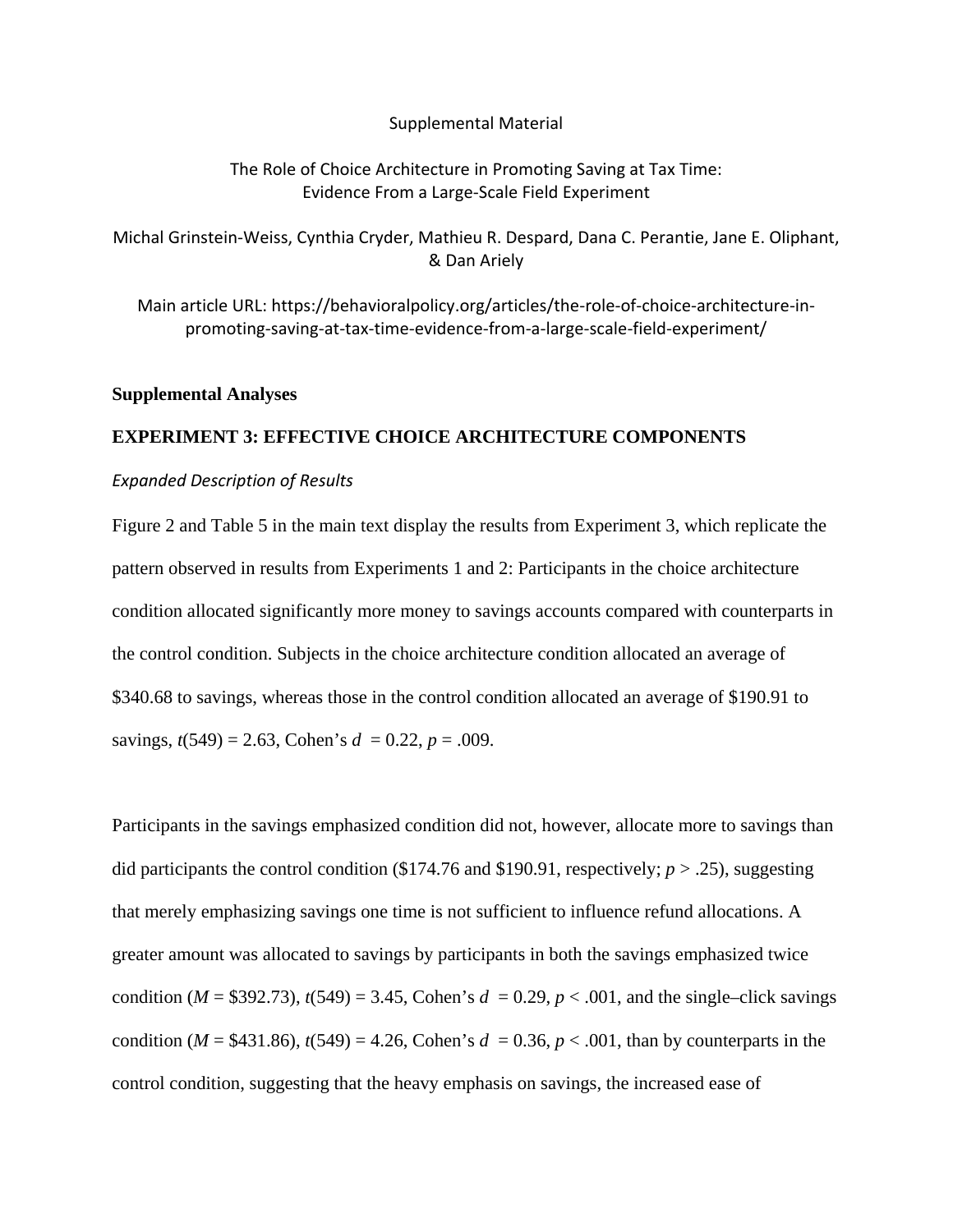#### Supplemental Material

## The Role of Choice Architecture in Promoting Saving at Tax Time: Evidence From a Large‐Scale Field Experiment

Michal Grinstein‐Weiss, Cynthia Cryder, Mathieu R. Despard, Dana C. Perantie, Jane E. Oliphant, & Dan Ariely

Main article URL: https://behavioralpolicy.org/articles/the‐role‐of‐choice‐architecture‐in‐ promoting‐saving‐at‐tax‐time‐evidence‐from‐a‐large‐scale‐field‐experiment/

## **Supplemental Analyses**

## **EXPERIMENT 3: EFFECTIVE CHOICE ARCHITECTURE COMPONENTS**

## *Expanded Description of Results*

Figure 2 and Table 5 in the main text display the results from Experiment 3, which replicate the pattern observed in results from Experiments 1 and 2: Participants in the choice architecture condition allocated significantly more money to savings accounts compared with counterparts in the control condition. Subjects in the choice architecture condition allocated an average of \$340.68 to savings, whereas those in the control condition allocated an average of \$190.91 to savings,  $t(549) = 2.63$ , Cohen's  $d = 0.22$ ,  $p = .009$ .

Participants in the savings emphasized condition did not, however, allocate more to savings than did participants the control condition (\$174.76 and \$190.91, respectively; *p* > .25), suggesting that merely emphasizing savings one time is not sufficient to influence refund allocations. A greater amount was allocated to savings by participants in both the savings emphasized twice condition ( $M = $392.73$ ),  $t(549) = 3.45$ , Cohen's  $d = 0.29$ ,  $p < .001$ , and the single–click savings condition ( $M = $431.86$ ),  $t(549) = 4.26$ , Cohen's  $d = 0.36$ ,  $p < .001$ , than by counterparts in the control condition, suggesting that the heavy emphasis on savings, the increased ease of